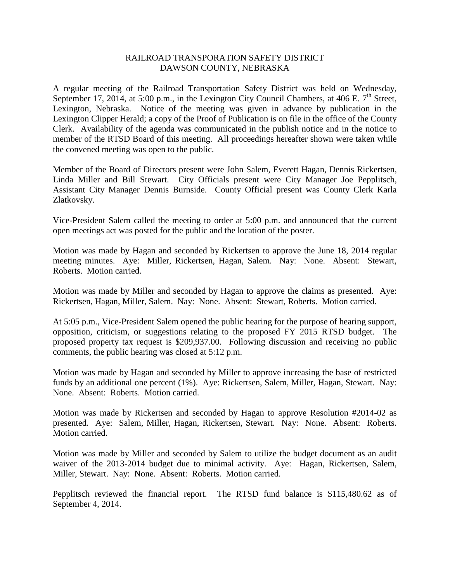## RAILROAD TRANSPORATION SAFETY DISTRICT DAWSON COUNTY, NEBRASKA

A regular meeting of the Railroad Transportation Safety District was held on Wednesday, September 17, 2014, at 5:00 p.m., in the Lexington City Council Chambers, at 406 E.  $7<sup>th</sup>$  Street, Lexington, Nebraska. Notice of the meeting was given in advance by publication in the Lexington Clipper Herald; a copy of the Proof of Publication is on file in the office of the County Clerk. Availability of the agenda was communicated in the publish notice and in the notice to member of the RTSD Board of this meeting. All proceedings hereafter shown were taken while the convened meeting was open to the public.

Member of the Board of Directors present were John Salem, Everett Hagan, Dennis Rickertsen, Linda Miller and Bill Stewart. City Officials present were City Manager Joe Pepplitsch, Assistant City Manager Dennis Burnside. County Official present was County Clerk Karla Zlatkovsky.

Vice-President Salem called the meeting to order at 5:00 p.m. and announced that the current open meetings act was posted for the public and the location of the poster.

Motion was made by Hagan and seconded by Rickertsen to approve the June 18, 2014 regular meeting minutes. Aye: Miller, Rickertsen, Hagan, Salem. Nay: None. Absent: Stewart, Roberts. Motion carried.

Motion was made by Miller and seconded by Hagan to approve the claims as presented. Aye: Rickertsen, Hagan, Miller, Salem. Nay: None. Absent: Stewart, Roberts. Motion carried.

At 5:05 p.m., Vice-President Salem opened the public hearing for the purpose of hearing support, opposition, criticism, or suggestions relating to the proposed FY 2015 RTSD budget. The proposed property tax request is \$209,937.00. Following discussion and receiving no public comments, the public hearing was closed at 5:12 p.m.

Motion was made by Hagan and seconded by Miller to approve increasing the base of restricted funds by an additional one percent (1%). Aye: Rickertsen, Salem, Miller, Hagan, Stewart. Nay: None. Absent: Roberts. Motion carried.

Motion was made by Rickertsen and seconded by Hagan to approve Resolution #2014-02 as presented. Aye: Salem, Miller, Hagan, Rickertsen, Stewart. Nay: None. Absent: Roberts. Motion carried.

Motion was made by Miller and seconded by Salem to utilize the budget document as an audit waiver of the 2013-2014 budget due to minimal activity. Aye: Hagan, Rickertsen, Salem, Miller, Stewart. Nay: None. Absent: Roberts. Motion carried.

Pepplitsch reviewed the financial report. The RTSD fund balance is \$115,480.62 as of September 4, 2014.